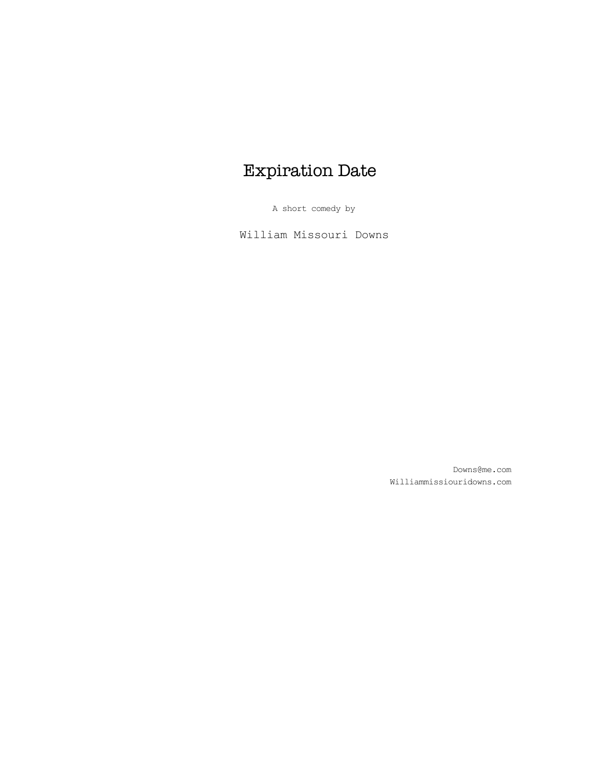# Expiration Date

A short comedy by

William Missouri Downs

Downs@me.com Williammissiouridowns.com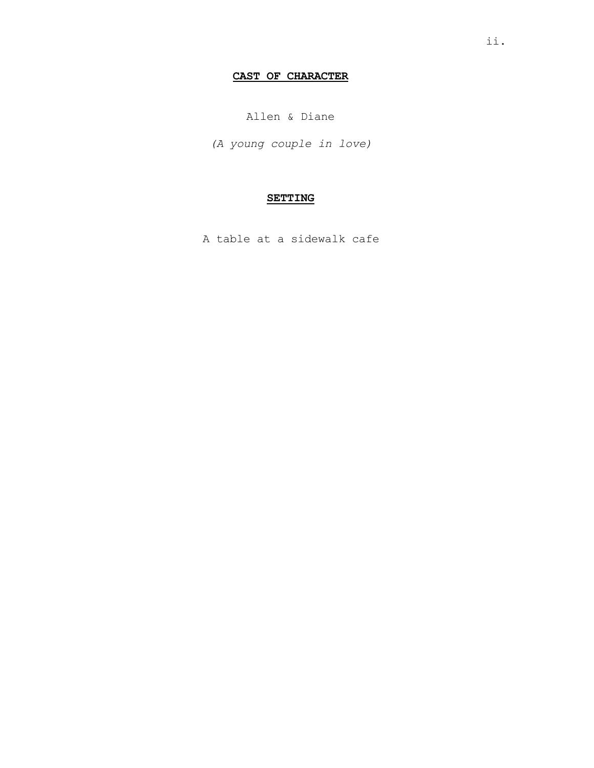# **CAST OF CHARACTER**

Allen & Diane

*(A young couple in love)*

# **SETTING**

A table at a sidewalk cafe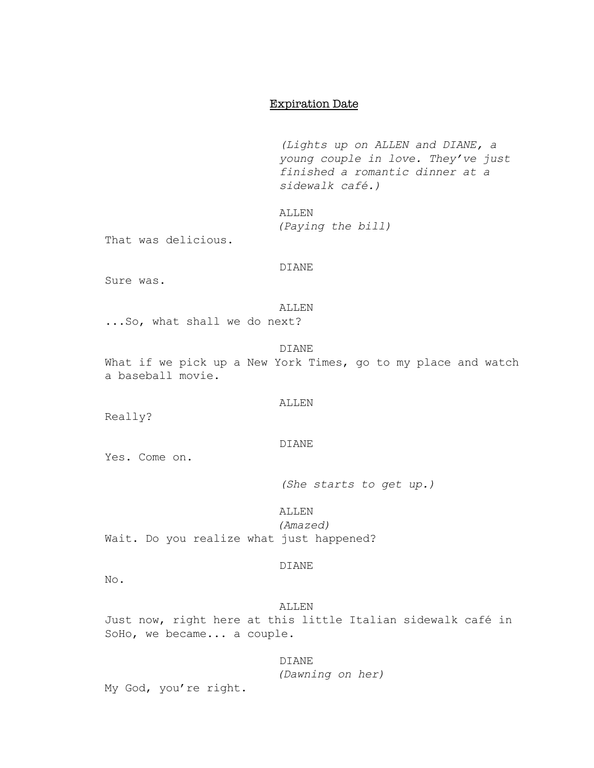# Expiration Date

*(Lights up on ALLEN and DIANE, a young couple in love. They've just finished a romantic dinner at a sidewalk café.)*

ALLEN

*(Paying the bill)*

That was delicious.

# DIANE

Sure was.

# ALLEN

...So, what shall we do next?

#### DIANE

What if we pick up a New York Times, go to my place and watch a baseball movie.

## ALLEN

Really?

# DIANE

Yes. Come on.

*(She starts to get up.)*

# ALLEN

*(Amazed)* Wait. Do you realize what just happened?

## DIANE

No.

ALLEN Just now, right here at this little Italian sidewalk café in SoHo, we became... a couple.

# DIANE

*(Dawning on her)*

My God, you're right.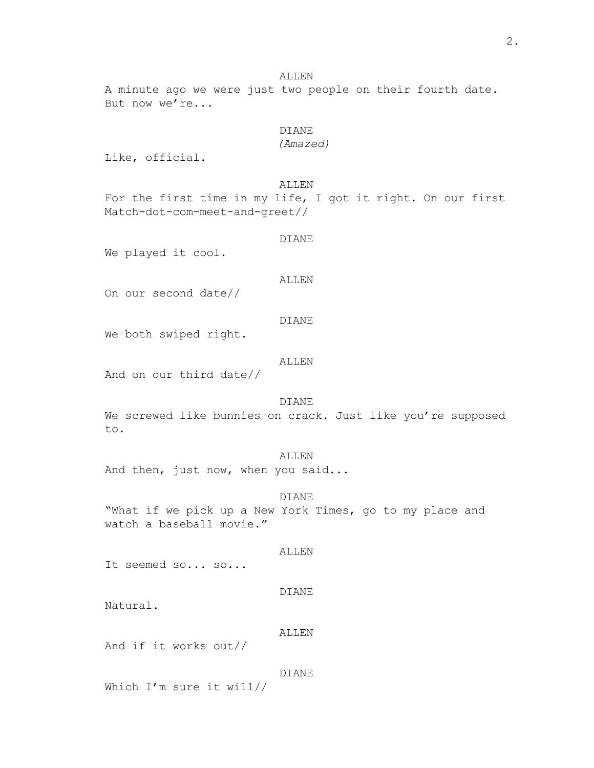#### ALLEN

A minute ago we were just two people on their fourth date. But now we're...

# DIANE

*(Amazed)*

Like, official.

ALLEN

For the first time in my life, I got it right. On our first Match-dot-com-meet-and-greet//

DIANE

We played it cool.

#### ALLEN

On our second date//

### DIANE

We both swiped right.

#### ALLEN

And on our third date//

# DIANE

We screwed like bunnies on crack. Just like you're supposed to.

## ALLEN

And then, just now, when you said...

# DIANE

"What if we pick up a New York Times, go to my place and watch a baseball movie."

#### ALLEN

It seemed so... so...

## DIANE

Natural.

#### ALLEN

And if it works out//

#### DIANE

Which I'm sure it will//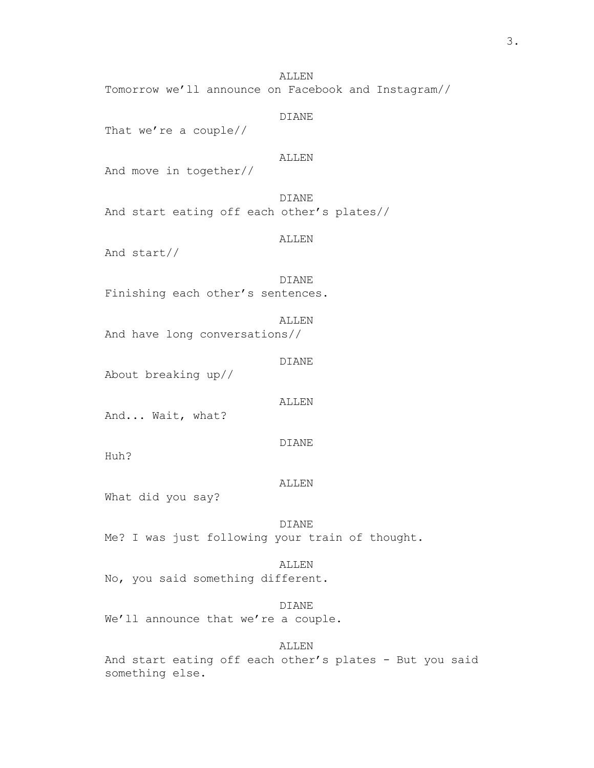ALLEN Tomorrow we'll announce on Facebook and Instagram//

# DIANE That we're a couple// ALLEN And move in together// DIANE And start eating off each other's plates// ALLEN And start// DIANE Finishing each other's sentences. ALLEN And have long conversations// DIANE About breaking up// ALLEN And... Wait, what? DIANE

Huh?

## ALLEN

What did you say?

#### DIANE

Me? I was just following your train of thought.

# ALLEN

No, you said something different.

#### DIANE

We'll announce that we're a couple.

# ALLEN

And start eating off each other's plates - But you said something else.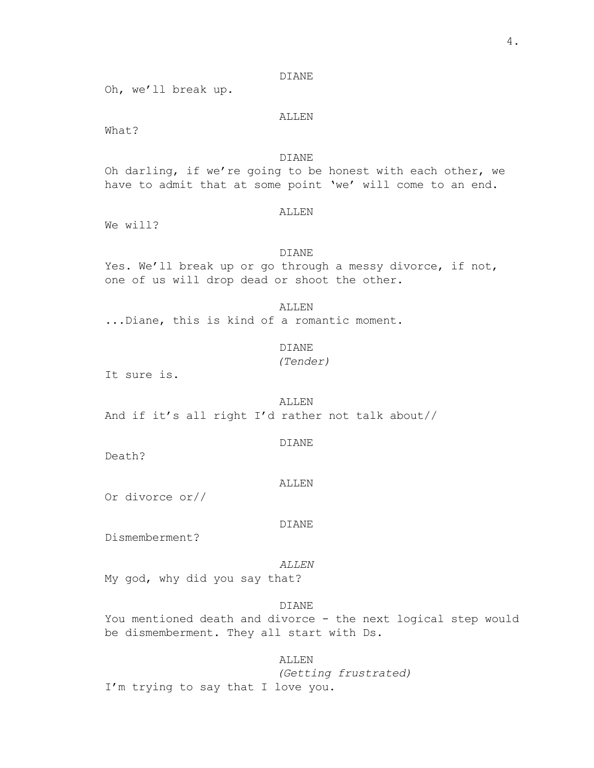Oh, we'll break up.

# ALLEN

What?

# DIANE

Oh darling, if we're going to be honest with each other, we have to admit that at some point 'we' will come to an end.

#### ALLEN

We will?

## DIANE

Yes. We'll break up or go through a messy divorce, if not, one of us will drop dead or shoot the other.

ALLEN

...Diane, this is kind of a romantic moment.

DIANE

*(Tender)*

It sure is.

ALLEN And if it's all right I'd rather not talk about//

#### DIANE

Death?

#### ALLEN

Or divorce or//

#### DIANE

Dismemberment?

#### *ALLEN*

My god, why did you say that?

#### DIANE

You mentioned death and divorce - the next logical step would be dismemberment. They all start with Ds.

ALLEN

*(Getting frustrated)* I'm trying to say that I love you.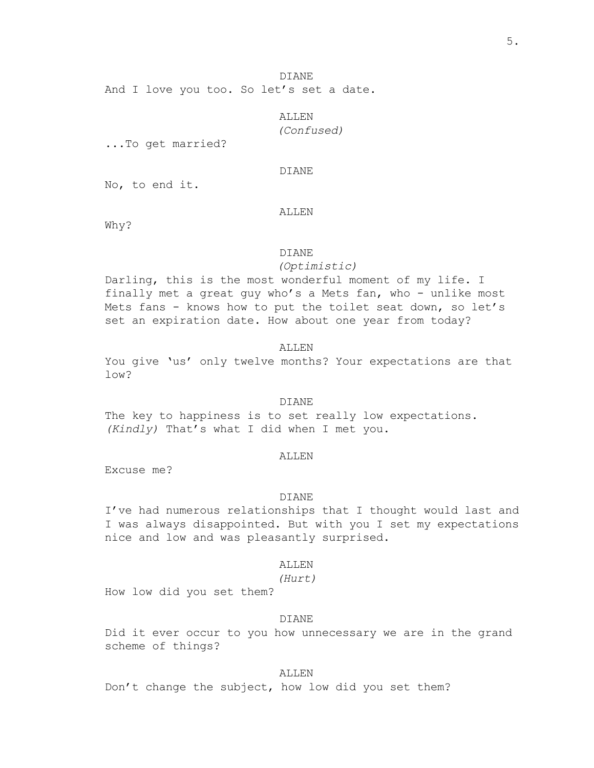DIANE And I love you too. So let's set a date.

> ALLEN *(Confused)*

...To get married?

# DIANE

No, to end it.

#### ALLEN

Why?

#### DIANE

*(Optimistic)*

Darling, this is the most wonderful moment of my life. I finally met a great guy who's a Mets fan, who - unlike most Mets fans - knows how to put the toilet seat down, so let's set an expiration date. How about one year from today?

#### ALLEN

You give 'us' only twelve months? Your expectations are that low?

# DIANE

The key to happiness is to set really low expectations. *(Kindly)* That's what I did when I met you.

#### **ALLEN**

Excuse me?

## DIANE

I've had numerous relationships that I thought would last and I was always disappointed. But with you I set my expectations nice and low and was pleasantly surprised.

#### ALLEN

*(Hurt)*

How low did you set them?

## DIANE

Did it ever occur to you how unnecessary we are in the grand scheme of things?

## ALLEN

Don't change the subject, how low did you set them?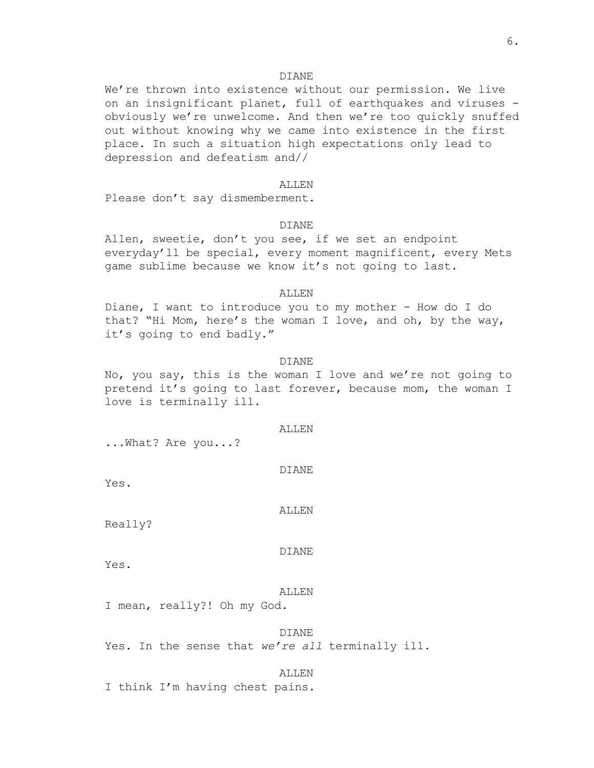We're thrown into existence without our permission. We live on an insignificant planet, full of earthquakes and viruses obviously we're unwelcome. And then we're too quickly snuffed out without knowing why we came into existence in the first place. In such a situation high expectations only lead to depression and defeatism and//

#### ALLEN

Please don't say dismemberment.

## DIANE

Allen, sweetie, don't you see, if we set an endpoint everyday'll be special, every moment magnificent, every Mets game sublime because we know it's not going to last.

# ALLEN

Diane, I want to introduce you to my mother - How do I do that? "Hi Mom, here's the woman I love, and oh, by the way, it's going to end badly."

#### DIANE

No, you say, this is the woman I love and we're not going to pretend it's going to last forever, because mom, the woman I love is terminally ill.

#### ALLEN

...What? Are you...?

DIANE

Yes.

ALLEN

Really?

#### DIANE

Yes.

# ALLEN

I mean, really?! Oh my God.

#### DIANE

Yes. In the sense that *we're all* terminally ill.

ALLEN I think I'm having chest pains.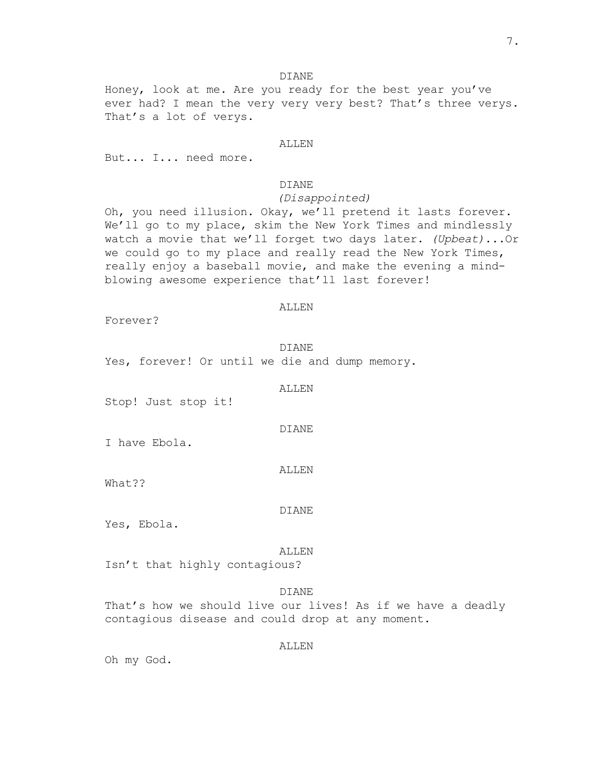Honey, look at me. Are you ready for the best year you've ever had? I mean the very very very best? That's three verys. That's a lot of verys.

#### ALLEN

But... I... need more.

# DIANE

## *(Disappointed)*

Oh, you need illusion. Okay, we'll pretend it lasts forever. We'll go to my place, skim the New York Times and mindlessly watch a movie that we'll forget two days later. *(Upbeat)*...Or we could go to my place and really read the New York Times, really enjoy a baseball movie, and make the evening a mindblowing awesome experience that'll last forever!

#### ALLEN

Forever?

DIANE Yes, forever! Or until we die and dump memory.

ALLEN

Stop! Just stop it!

I have Ebola.

ALLEN

DIANE

What??

DIANE

Yes, Ebola.

#### ALLEN

Isn't that highly contagious?

# DIANE

That's how we should live our lives! As if we have a deadly contagious disease and could drop at any moment.

# ALLEN

Oh my God.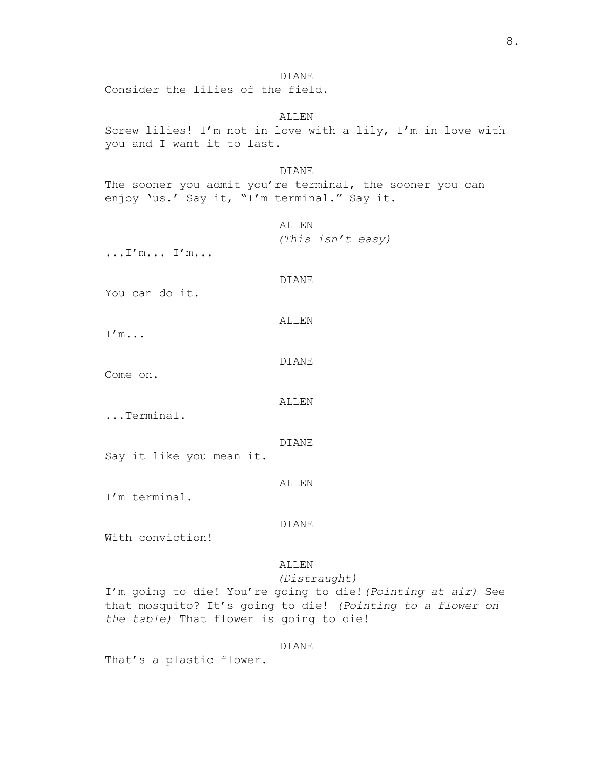Consider the lilies of the field.

# ALLEN Screw lilies! I'm not in love with a lily, I'm in love with you and I want it to last.

## DIANE

The sooner you admit you're terminal, the sooner you can enjoy 'us.' Say it, "I'm terminal." Say it.

> ALLEN *(This isn't easy)*

...I'm... I'm...

# DIANE

You can do it.

ALLEN

I'm...

DIANE

Come on.

## ALLEN

...Terminal.

## DIANE

Say it like you mean it.

## ALLEN

I'm terminal.

## DIANE

With conviction!

# ALLEN

# *(Distraught)*

I'm going to die! You're going to die!*(Pointing at air)* See that mosquito? It's going to die! *(Pointing to a flower on the table)* That flower is going to die!

# DIANE

That's a plastic flower.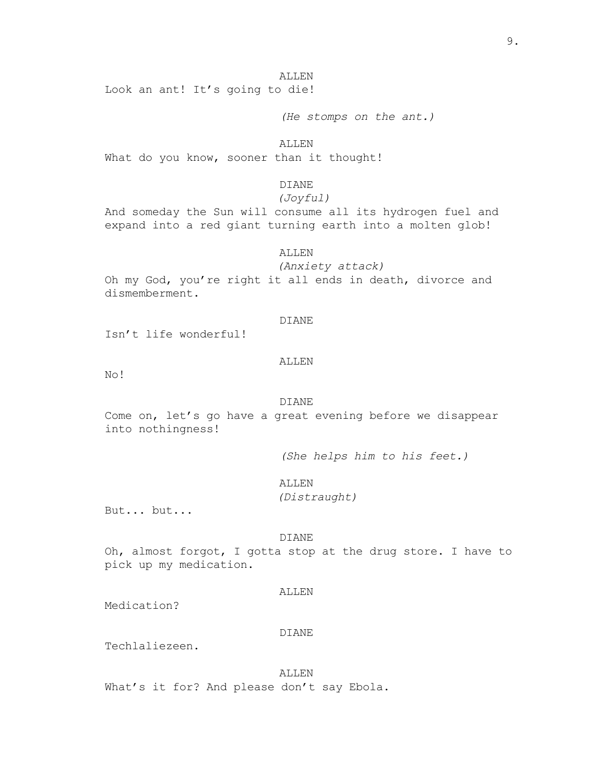ALLEN Look an ant! It's going to die!

*(He stomps on the ant.)*

ALLEN What do you know, sooner than it thought!

# DIANE

# *(Joyful)*

And someday the Sun will consume all its hydrogen fuel and expand into a red giant turning earth into a molten glob!

#### ALLEN

*(Anxiety attack)*

Oh my God, you're right it all ends in death, divorce and dismemberment.

## DIANE

Isn't life wonderful!

#### ALLEN

No!

# DIANE

Come on, let's go have a great evening before we disappear into nothingness!

*(She helps him to his feet.)*

ALLEN

*(Distraught)*

But... but...

#### DIANE

Oh, almost forgot, I gotta stop at the drug store. I have to pick up my medication.

# ALLEN

Medication?

#### DIANE

Techlaliezeen.

ALLEN What's it for? And please don't say Ebola.